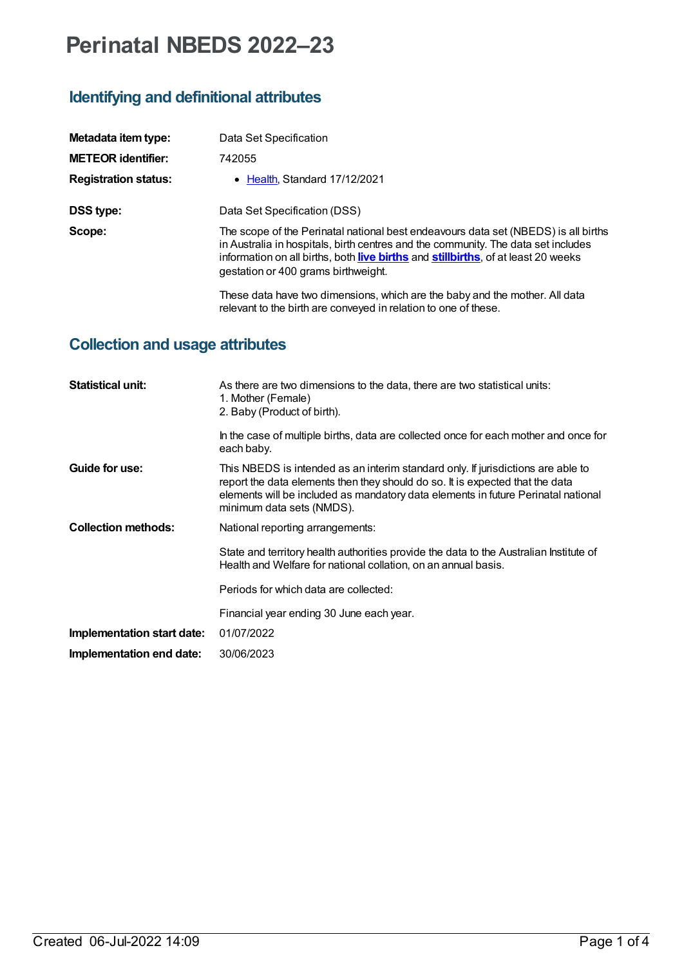# **Perinatal NBEDS 2022–23**

#### **Identifying and definitional attributes**

| Metadata item type:         | Data Set Specification                                                                                                                                                                                                                                                                              |
|-----------------------------|-----------------------------------------------------------------------------------------------------------------------------------------------------------------------------------------------------------------------------------------------------------------------------------------------------|
| <b>METEOR identifier:</b>   | 742055                                                                                                                                                                                                                                                                                              |
| <b>Registration status:</b> | • Health, Standard 17/12/2021                                                                                                                                                                                                                                                                       |
| <b>DSS type:</b>            | Data Set Specification (DSS)                                                                                                                                                                                                                                                                        |
| Scope:                      | The scope of the Perinatal national best endeavours data set (NBEDS) is all births<br>in Australia in hospitals, birth centres and the community. The data set includes<br>information on all births, both live births and stillbirths, of at least 20 weeks<br>gestation or 400 grams birthweight. |
|                             | These data have two dimensions, which are the baby and the mother. All data<br>relevant to the birth are conveyed in relation to one of these.                                                                                                                                                      |

### **Collection and usage attributes**

| <b>Statistical unit:</b>   | As there are two dimensions to the data, there are two statistical units:<br>1. Mother (Female)<br>2. Baby (Product of birth).                                                                                                                                                      |
|----------------------------|-------------------------------------------------------------------------------------------------------------------------------------------------------------------------------------------------------------------------------------------------------------------------------------|
|                            | In the case of multiple births, data are collected once for each mother and once for<br>each baby.                                                                                                                                                                                  |
| Guide for use:             | This NBEDS is intended as an interim standard only. If jurisdictions are able to<br>report the data elements then they should do so. It is expected that the data<br>elements will be included as mandatory data elements in future Perinatal national<br>minimum data sets (NMDS). |
| <b>Collection methods:</b> | National reporting arrangements:                                                                                                                                                                                                                                                    |
|                            | State and territory health authorities provide the data to the Australian Institute of<br>Health and Welfare for national collation, on an annual basis.                                                                                                                            |
|                            | Periods for which data are collected:                                                                                                                                                                                                                                               |
|                            | Financial year ending 30 June each year.                                                                                                                                                                                                                                            |
| Implementation start date: | 01/07/2022                                                                                                                                                                                                                                                                          |
| Implementation end date:   | 30/06/2023                                                                                                                                                                                                                                                                          |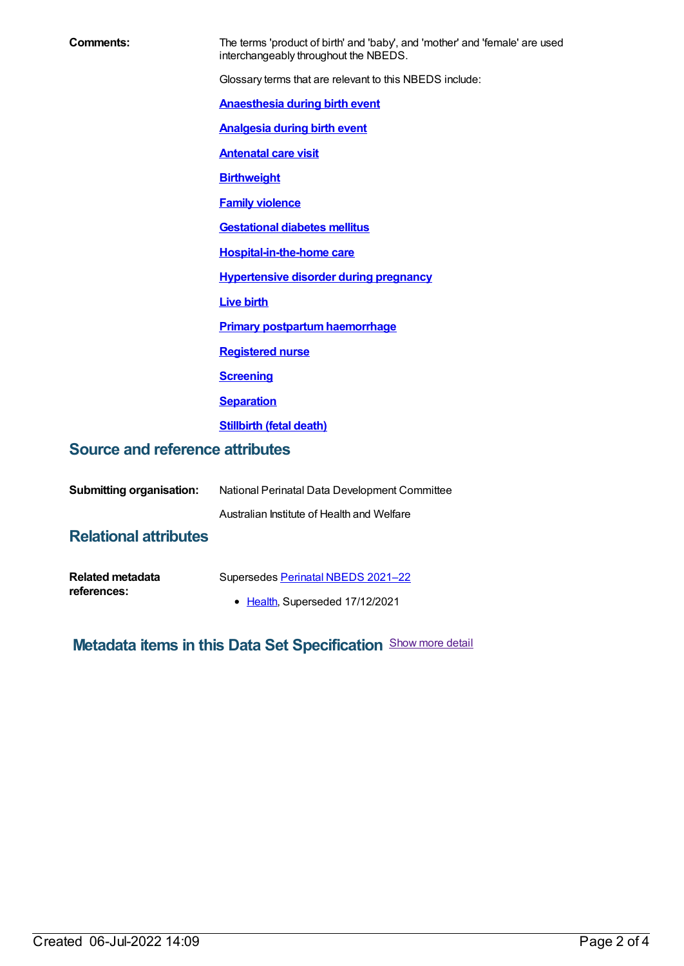| Comments:                              | The terms 'product of birth' and 'baby', and 'mother' and 'female' are used<br>interchangeably throughout the NBEDS. |
|----------------------------------------|----------------------------------------------------------------------------------------------------------------------|
|                                        | Glossary terms that are relevant to this NBEDS include:                                                              |
|                                        | <b>Anaesthesia during birth event</b>                                                                                |
|                                        | <b>Analgesia during birth event</b>                                                                                  |
|                                        | <b>Antenatal care visit</b>                                                                                          |
|                                        | <b>Birthweight</b>                                                                                                   |
|                                        | <b>Family violence</b>                                                                                               |
|                                        | <b>Gestational diabetes mellitus</b>                                                                                 |
|                                        | <b>Hospital-in-the-home care</b>                                                                                     |
|                                        | <b>Hypertensive disorder during pregnancy</b>                                                                        |
|                                        | <b>Live birth</b>                                                                                                    |
|                                        | <b>Primary postpartum haemorrhage</b>                                                                                |
|                                        | <b>Registered nurse</b>                                                                                              |
|                                        | <b>Screening</b>                                                                                                     |
|                                        | <b>Separation</b>                                                                                                    |
|                                        | <b>Stillbirth (fetal death)</b>                                                                                      |
| <b>Source and reference attributes</b> |                                                                                                                      |
|                                        |                                                                                                                      |
| <b>Submitting organisation:</b>        | National Perinatal Data Development Committee                                                                        |
|                                        | Australian Institute of Health and Welfare                                                                           |
| <b>Relational attributes</b>           |                                                                                                                      |
|                                        |                                                                                                                      |

| <b>Related metadata</b> | Supersedes Perinatal NBEDS 2021-22 |
|-------------------------|------------------------------------|
| references:             |                                    |
|                         | • Health, Superseded 17/12/2021    |

## **Metadata items in this Data Set Specification** Show more detail